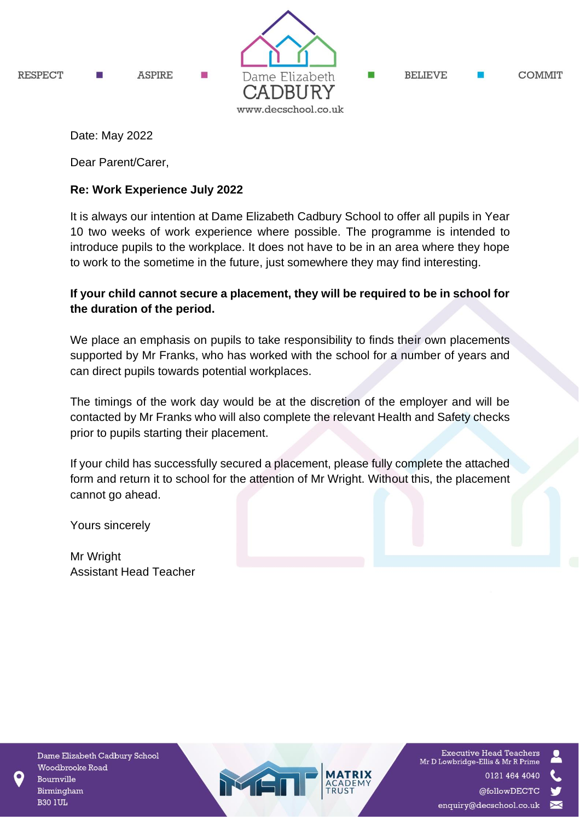

Date: May 2022

Dear Parent/Carer,

# **Re: Work Experience July 2022**

It is always our intention at Dame Elizabeth Cadbury School to offer all pupils in Year 10 two weeks of work experience where possible. The programme is intended to introduce pupils to the workplace. It does not have to be in an area where they hope to work to the sometime in the future, just somewhere they may find interesting.

# **If your child cannot secure a placement, they will be required to be in school for the duration of the period.**

We place an emphasis on pupils to take responsibility to finds their own placements supported by Mr Franks, who has worked with the school for a number of years and can direct pupils towards potential workplaces.

The timings of the work day would be at the discretion of the employer and will be contacted by Mr Franks who will also complete the relevant Health and Safety checks prior to pupils starting their placement.

If your child has successfully secured a placement, please fully complete the attached form and return it to school for the attention of Mr Wright. Without this, the placement cannot go ahead.

Yours sincerely

Mr Wright Assistant Head Teacher

Dame Elizabeth Cadbury School Woodbrooke Road Bournville Birmingham **B30 1UL** 



**Executive Head Teachers** Mr D Lowbridge-Ellis & Mr R Prime 0121 464 4040 @followDECTC

enquiry@decschool.co.uk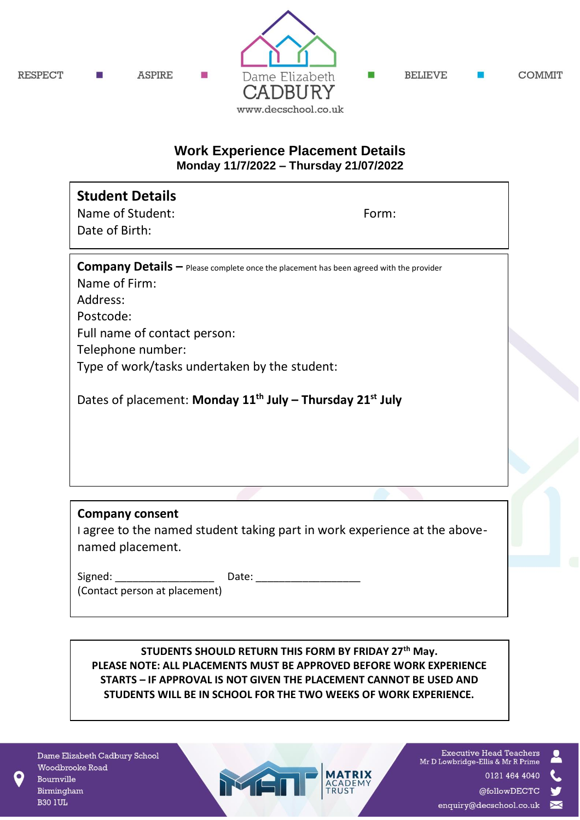

## **Work Experience Placement Details Monday 11/7/2022 – Thursday 21/07/2022**

| <b>Student Details</b><br>Name of Student:<br>Date of Birth:                                                   | Form: |
|----------------------------------------------------------------------------------------------------------------|-------|
| <b>Company Details - Please complete once the placement has been agreed with the provider</b><br>Name of Firm: |       |
| Address:                                                                                                       |       |
| Postcode:                                                                                                      |       |
| Full name of contact person:                                                                                   |       |
| Telephone number:                                                                                              |       |
| Type of work/tasks undertaken by the student:                                                                  |       |
| Dates of placement: Monday $11^{th}$ July – Thursday $21^{st}$ July                                            |       |
|                                                                                                                |       |
|                                                                                                                |       |
|                                                                                                                |       |
| <b>Company consent</b>                                                                                         |       |

I agree to the named student taking part in work experience at the abovenamed placement.

Signed: The Date:

MEI

(Contact person at placement)

**STUDENTS SHOULD RETURN THIS FORM BY FRIDAY 27th May. PLEASE NOTE: ALL PLACEMENTS MUST BE APPROVED BEFORE WORK EXPERIENCE STARTS – IF APPROVAL IS NOT GIVEN THE PLACEMENT CANNOT BE USED AND STUDENTS WILL BE IN SCHOOL FOR THE TWO WEEKS OF WORK EXPERIENCE.**

Dame Elizabeth Cadbury School Woodbrooke Road Bournville Birmingham **B30 1UL** 

**Executive Head Teachers** Mr D Lowbridge-Ellis & Mr R Prime 0121 464 4040 @followDECTC

enquiry@decschool.co.uk